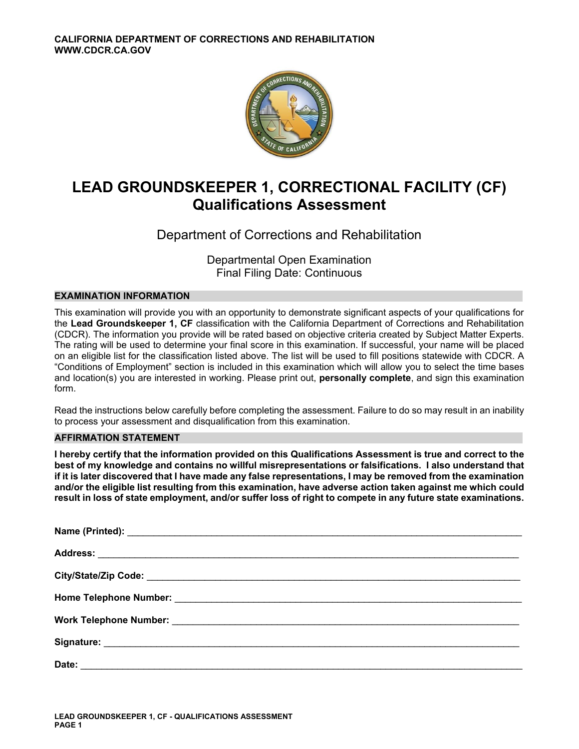

# **LEAD GROUNDSKEEPER 1, CORRECTIONAL FACILITY (CF) Qualifications Assessment**

## Department of Corrections and Rehabilitation

Departmental Open Examination Final Filing Date: Continuous

### **EXAMINATION INFORMATION**

This examination will provide you with an opportunity to demonstrate significant aspects of your qualifications for the **Lead Groundskeeper 1, CF** classification with the California Department of Corrections and Rehabilitation (CDCR). The information you provide will be rated based on objective criteria created by Subject Matter Experts. The rating will be used to determine your final score in this examination. If successful, your name will be placed on an eligible list for the classification listed above. The list will be used to fill positions statewide with CDCR. A "Conditions of Employment" section is included in this examination which will allow you to select the time bases and location(s) you are interested in working. Please print out, **personally complete**, and sign this examination form.

Read the instructions below carefully before completing the assessment. Failure to do so may result in an inability to process your assessment and disqualification from this examination.

### **AFFIRMATION STATEMENT**

**I hereby certify that the information provided on this Qualifications Assessment is true and correct to the best of my knowledge and contains no willful misrepresentations or falsifications. I also understand that if it is later discovered that I have made any false representations, I may be removed from the examination and/or the eligible list resulting from this examination, have adverse action taken against me which could result in loss of state employment, and/or suffer loss of right to compete in any future state examinations.**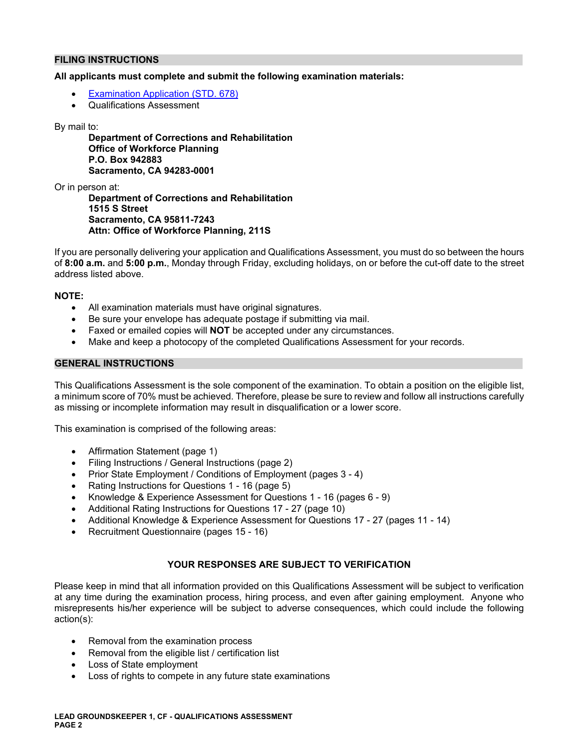### **FILING INSTRUCTIONS**

### **All applicants must complete and submit the following examination materials:**

- [Examination Application \(STD. 678\)](https://jobs.ca.gov/pdf/STD678.pdf)
- Qualifications Assessment

### By mail to:

**Department of Corrections and Rehabilitation Office of Workforce Planning P.O. Box 942883 Sacramento, CA 94283-0001** 

Or in person at:

**Department of Corrections and Rehabilitation 1515 S Street Sacramento, CA 95811-7243 Attn: Office of Workforce Planning, 211S** 

If you are personally delivering your application and Qualifications Assessment, you must do so between the hours of **8:00 a.m.** and **5:00 p.m.**, Monday through Friday, excluding holidays, on or before the cut-off date to the street address listed above.

### **NOTE:**

- All examination materials must have original signatures.
- Be sure your envelope has adequate postage if submitting via mail.
- Faxed or emailed copies will **NOT** be accepted under any circumstances.
- Make and keep a photocopy of the completed Qualifications Assessment for your records.

### **GENERAL INSTRUCTIONS**

This Qualifications Assessment is the sole component of the examination. To obtain a position on the eligible list, a minimum score of 70% must be achieved. Therefore, please be sure to review and follow all instructions carefully as missing or incomplete information may result in disqualification or a lower score.

This examination is comprised of the following areas:

- Affirmation Statement (page 1)
- Filing Instructions / General Instructions (page 2)
- Prior State Employment / Conditions of Employment (pages 3 4)
- Rating Instructions for Questions 1 16 (page 5)
- Knowledge & Experience Assessment for Questions 1 16 (pages 6 9)
- Additional Rating Instructions for Questions 17 27 (page 10)
- Additional Knowledge & Experience Assessment for Questions 17 27 (pages 11 14)
- Recruitment Questionnaire (pages 15 16)

### **YOUR RESPONSES ARE SUBJECT TO VERIFICATION**

Please keep in mind that all information provided on this Qualifications Assessment will be subject to verification at any time during the examination process, hiring process, and even after gaining employment. Anyone who misrepresents his/her experience will be subject to adverse consequences, which could include the following action(s):

- Removal from the examination process
- Removal from the eligible list / certification list
- Loss of State employment
- Loss of rights to compete in any future state examinations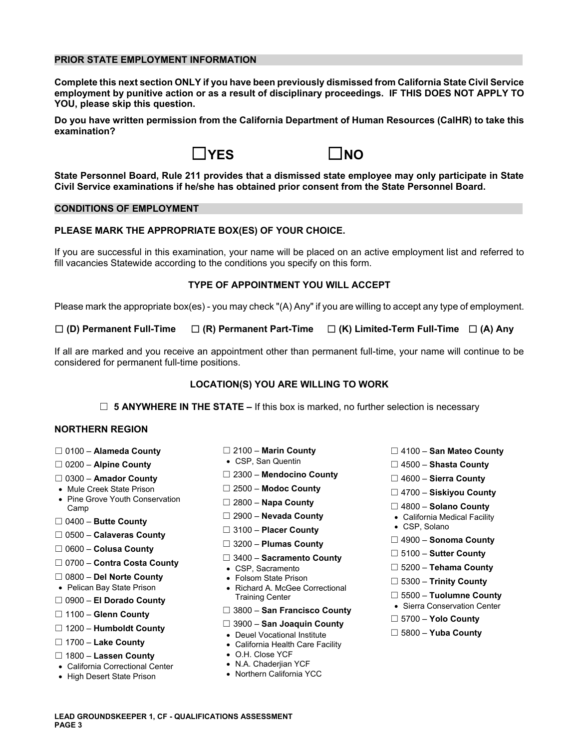### **PRIOR STATE EMPLOYMENT INFORMATION**

**Complete this next section ONLY if you have been previously dismissed from California State Civil Service employment by punitive action or as a result of disciplinary proceedings. IF THIS DOES NOT APPLY TO YOU, please skip this question.** 

**Do you have written permission from the California Department of Human Resources (CalHR) to take this examination?** 





**State Personnel Board, Rule 211 provides that a dismissed state employee may only participate in State Civil Service examinations if he/she has obtained prior consent from the State Personnel Board.** 

### **CONDITIONS OF EMPLOYMENT**

### **PLEASE MARK THE APPROPRIATE BOX(ES) OF YOUR CHOICE.**

If you are successful in this examination, your name will be placed on an active employment list and referred to fill vacancies Statewide according to the conditions you specify on this form.

### **TYPE OF APPOINTMENT YOU WILL ACCEPT**

Please mark the appropriate box(es) - you may check "(A) Any" if you are willing to accept any type of employment.

☐ **(D) Permanent Full-Time** ☐ **(R) Permanent Part-Time** ☐ **(K) Limited-Term Full-Time** ☐ **(A) Any** 

If all are marked and you receive an appointment other than permanent full-time, your name will continue to be considered for permanent full-time positions.

### **LOCATION(S) YOU ARE WILLING TO WORK**

☐ **5 ANYWHERE IN THE STATE –** If this box is marked, no further selection is necessary

### **NORTHERN REGION**

- 
- 
- 
- 
- Mule Creek State Prison ☐ 2500 **Modoc County** ☐ 4700 **Siskiyou County**  Pine Grove Youth Conservation ☐ 2800 **Napa County** Camp ☐ 4800 **Solano County**  ☐ 2900 – **Nevada County** California Medical Facility ☐ 0400 – **Butte County**
- 
- □ 0500 Calaveras County <br>□ 3200 **Plumas County D** 3200 **Plumas County**
- ☐ 0600 **Colusa County**
- ☐ 0700 **Contra Costa County**  CSP, Sacramento ☐ 5200 **Tehama County**
- 
- 
- 
- 
- 
- 
- ☐ 1800 **Lassen County**  O.H. Close YCF
- California Correctional Center N.A. Chaderjian YCF
- High Desert State Prison
- 
- 
- ☐ ☐ 2300 **Mendocino County** 0300 **Amador County** ☐ 4600 **Sierra County** 
	-
	-
	-
	-
	-
	- ☐ 5100 **Sutter County** 3400 **Sacramento County** ☐
	-
	-
- ☐ 0800 **Del Norte County**  Folsom State Prison ☐ 5300 **Trinity County**  Pelican Bay State Prison Richard A. McGee Correctional Training Center ☐ 5500 – **Tuolumne County** ☐ 0900 – **El Dorado County**  Sierra Conservation Center
	- ☐ 3800 **San Francisco County** 1100 **Glenn County** ☐
	-
- ☐ ☐ 3900 **San Joaquin County** 1200 **Humboldt County**  Deuel Vocational Institute ☐ 5800 **Yuba County** 
	- California Health Care Facility
	-
	-
	-
- ☐ 0100 **Alameda County** ☐ 2100 **Marin County** ☐ 4100 **San Mateo County**
- ☐ 0200 **Alpine County**  CSP, San Quentin ☐ 4500 **Shasta County** 
	-
	-
	-
	-
	-
	- ☐ 4900 **Sonoma County** 3200 **Plumas County** ☐
	-
	-
	-
	-
	-
	- ☐ 5700 **Yolo County**
	-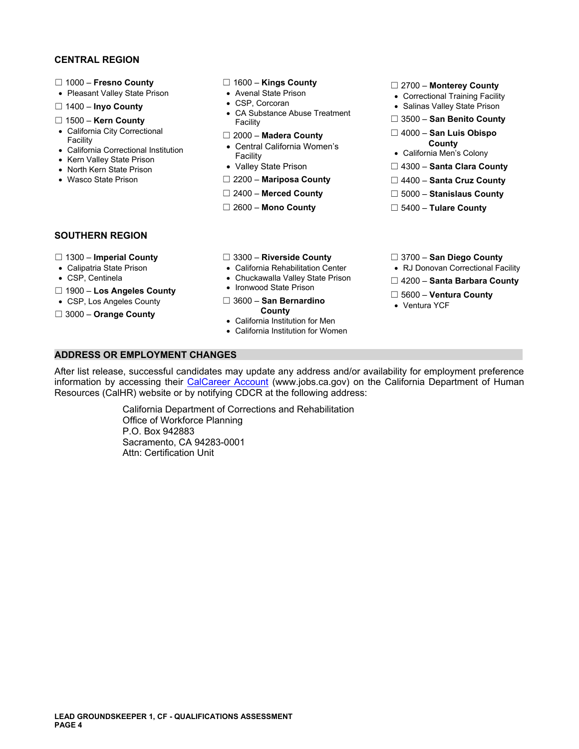### **CENTRAL REGION**

- 
- 
- 
- 
- 
- 
- 
- 
- 

- 
- 
- □ 1400 **Inyo County** <br>CA Substance Abuse Treatment **and Substance Abuse Treatment** <br>Facility Facility **COUNTER COUNTY** Facility **COUNTER EXECUTE** ☐ 1500 – **Kern County** Facility ☐ 3500 – **San Benito County** 
	-
- California City Correctional ☐ 2000 **Madera County** ☐ 4000 **San Luis Obispo** Facility Central California Women's **County**  California Correctional Institution Facility California Men's Colony Kern Valley State Prison
	-
	-
	-
	-

- ☐ 1000 **Fresno County** ☐ 1600 **Kings County** ☐ 2700 **Monterey County**  Pleasant Valley State Prison Avenal State Prison Correctional Training Facility
	-
	-
	-
	-
- Kern Valley State Prison **Facility** Practitive Prison **in State Prison in the County** of North Kern State Prison **in State Prison** in North Kern State Prison **in North Kern State Prison** in North Kern State Prison **in N**
- Wasco State Prison **DEMILY COLL THE STATE OF Mariposa County** DEMILY A400 Santa Cruz County
	- ☐ 2400 **Merced County** ☐ 5000 **Stanislaus County**
	- ☐ 2600 **Mono County** ☐ 5400 **Tulare County**

### **SOUTHERN REGION**

- 
- 
- 
- 
- 
- □ 3000 **Orange County the County of County County County county c** California Institution for Men
- 
- 
- 

California Institution for Women

- 
- ☐ Ironwood State Prison 1900 **Los Angeles County**  ☐ 5600 **Ventura County**  CSP, Los Angeles County ☐ 3600 **San Bernardino**
- ☐ 1300 **Imperial County** ☐ 3300 **Riverside County** ☐ 3700 **San Diego County**
- Calipatria State Prison California Rehabilitation Center RJ Donovan Correctional Facility
- CSP, Centinela **Chuckawalla Valley State Prison** □ 4200 **Santa Barbara County 1000 Lee Angeles County** Ironwood State Prison
	-
	-

**ADDRESS OR EMPLOYMENT CHANGES** 

After list release, successful candidates may update any address and/or availability for employment preference information by accessing their [CalCareer Account](https://www.jobs.ca.gov/) [\(www.jobs.ca.gov](www.jobs.ca.gov)) on the California Department of Human Resources (CalHR) website or by notifying CDCR at the following address:

> California Department of Corrections and Rehabilitation Office of Workforce Planning P.O. Box 942883 Sacramento, CA 94283-0001 Attn: Certification Unit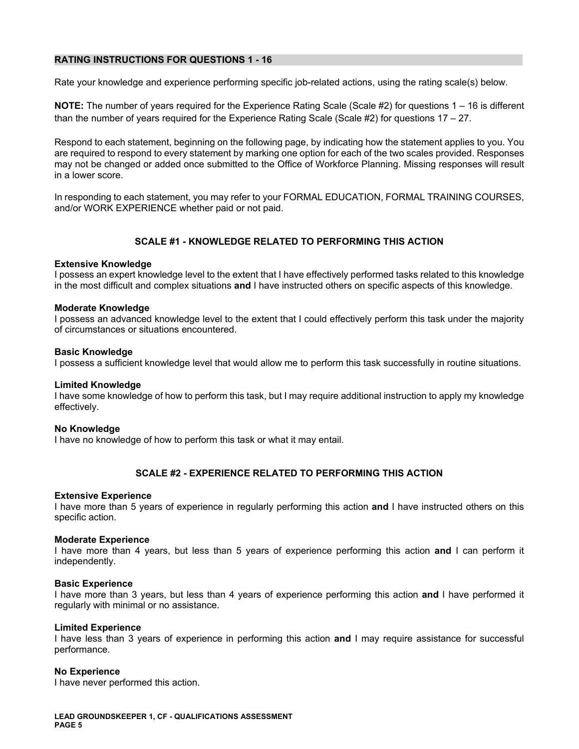### **RATING INSTRUCTIONS FOR QUESTIONS 1 - 16**

Rate your knowledge and experience performing specific job-related actions, using the rating scale(s) below.

**NOTE:** The number of years required for the Experience Rating Scale (Scale #2) for questions 1 – 16 is different than the number of years required for the Experience Rating Scale (Scale #2) for questions 17 – 27.

Respond to each statement, beginning on the following page, by indicating how the statement applies to you. You are required to respond to every statement by marking one option for each of the two scales provided. Responses may not be changed or added once submitted to the Office of Workforce Planning. Missing responses will result in a lower score.

In responding to each statement, you may refer to your FORMAL EDUCATION, FORMAL TRAINING COURSES, and/or WORK EXPERIENCE whether paid or not paid.

### **SCALE #1 - KNOWLEDGE RELATED TO PERFORMING THIS ACTION**

### **Extensive Knowledge**

I possess an expert knowledge level to the extent that I have effectively performed tasks related to this knowledge in the most difficult and complex situations **and** I have instructed others on specific aspects of this knowledge.

### **Moderate Knowledge**

I possess an advanced knowledge level to the extent that I could effectively perform this task under the majority of circumstances or situations encountered.

### **Basic Knowledge**

I possess a sufficient knowledge level that would allow me to perform this task successfully in routine situations.

### **Limited Knowledge**

I have some knowledge of how to perform this task, but I may require additional instruction to apply my knowledge effectively.

### **No Knowledge**

I have no knowledge of how to perform this task or what it may entail.

### **SCALE #2 - EXPERIENCE RELATED TO PERFORMING THIS ACTION**

### **Extensive Experience**

I have more than 5 years of experience in regularly performing this action **and** I have instructed others on this specific action.

### **Moderate Experience**

I have more than 4 years, but less than 5 years of experience performing this action **and** I can perform it independently.

### **Basic Experience**

I have more than 3 years, but less than 4 years of experience performing this action **and** I have performed it regularly with minimal or no assistance.

### **Limited Experience**

I have less than 3 years of experience in performing this action **and** I may require assistance for successful performance.

### **No Experience**

I have never performed this action.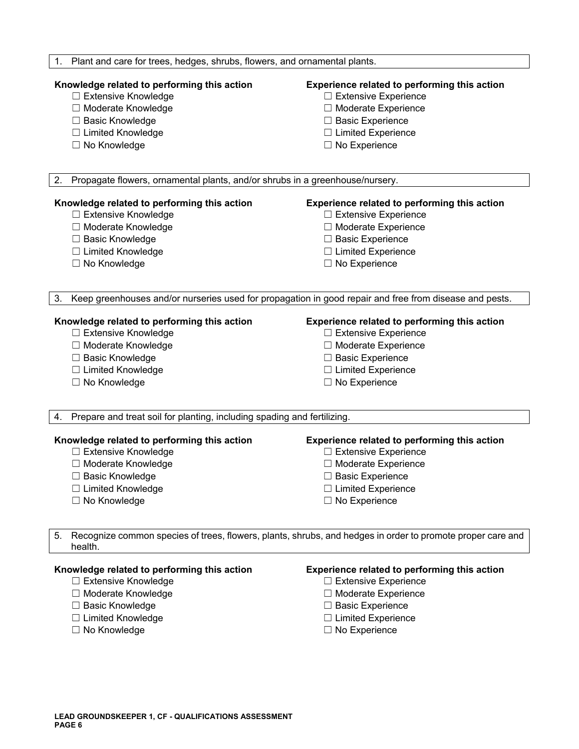### 1. Plant and care for trees, hedges, shrubs, flowers, and ornamental plants.

- ☐ Extensive Knowledge ☐ Extensive Experience
- ☐ Moderate Knowledge ☐ Moderate Experience
- ☐ Basic Knowledge ☐ Basic Experience
- ☐ Limited Knowledge ☐ Limited Experience
- 

### **Knowledge related to performing this action Experience related to performing this action**

- 
- 
- 
- 
- ☐ No Knowledge ☐ No Experience

2. Propagate flowers, ornamental plants, and/or shrubs in a greenhouse/nursery.

- 
- 
- 
- 
- 

### **Knowledge related to performing this action Experience related to performing this action**

- ☐ Extensive Knowledge ☐ Extensive Experience
- ☐ Moderate Knowledge ☐ Moderate Experience
- ☐ Basic Knowledge ☐ Basic Experience
- ☐ Limited Knowledge ☐ Limited Experience
- ☐ No Knowledge ☐ No Experience

3. Keep greenhouses and/or nurseries used for propagation in good repair and free from disease and pests.

- 
- 
- 
- 
- ☐ No Knowledge ☐ No Experience

### **Knowledge related to performing this action Experience related to performing this action**

- ☐ Extensive Knowledge ☐ Extensive Experience
- ☐ Moderate Knowledge ☐ Moderate Experience
- ☐ Basic Knowledge ☐ Basic Experience
- ☐ Limited Knowledge ☐ Limited Experience
	-

4. Prepare and treat soil for planting, including spading and fertilizing.

### **Knowledge related to performing this action Experience related to performing this action**

- ☐ Extensive Knowledge ☐ Extensive Experience
- ☐ Moderate Knowledge ☐ Moderate Experience
- 
- ☐ Limited Knowledge ☐ Limited Experience
- ☐ No Knowledge ☐ No Experience

- 
- 
- ☐ Basic Knowledge ☐ Basic Experience
	-
	-

5. Recognize common species of trees, flowers, plants, shrubs, and hedges in order to promote proper care and health.

- 
- ☐ Moderate Knowledge ☐ Moderate Experience
- 
- ☐ Limited Knowledge ☐ Limited Experience
- 

### **Knowledge related to performing this action Experience related to performing this action**

- ☐ Extensive Knowledge ☐ Extensive Experience
	-
- ☐ Basic Knowledge ☐ Basic Experience
	-
- ☐ No Knowledge ☐ No Experience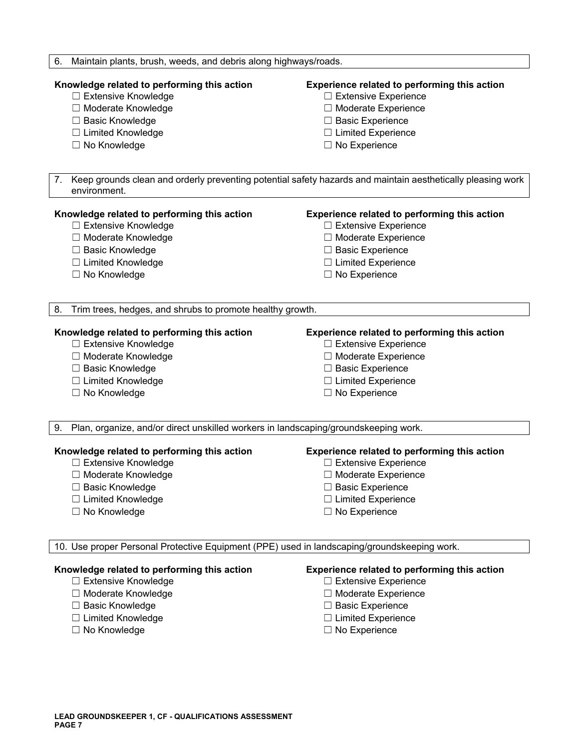| 6.<br>Maintain plants, brush, weeds, and debris along highways/roads.                                                             |                                              |  |
|-----------------------------------------------------------------------------------------------------------------------------------|----------------------------------------------|--|
| Knowledge related to performing this action                                                                                       | Experience related to performing this action |  |
| □ Extensive Knowledge                                                                                                             | $\Box$ Extensive Experience                  |  |
| □ Moderate Knowledge                                                                                                              | □ Moderate Experience                        |  |
| □ Basic Knowledge                                                                                                                 | □ Basic Experience                           |  |
| □ Limited Knowledge                                                                                                               | $\Box$ Limited Experience                    |  |
| $\Box$ No Knowledge                                                                                                               | $\Box$ No Experience                         |  |
| Keep grounds clean and orderly preventing potential safety hazards and maintain aesthetically pleasing work<br>7.<br>environment. |                                              |  |
| Knowledge related to performing this action                                                                                       | Experience related to performing this action |  |
| □ Extensive Knowledge                                                                                                             | $\Box$ Extensive Experience                  |  |
| □ Moderate Knowledge                                                                                                              | □ Moderate Experience                        |  |
| □ Basic Knowledge                                                                                                                 | □ Basic Experience                           |  |
| □ Limited Knowledge                                                                                                               | $\Box$ Limited Experience                    |  |
| □ No Knowledge                                                                                                                    | $\Box$ No Experience                         |  |
| Trim trees, hedges, and shrubs to promote healthy growth.<br>8.                                                                   |                                              |  |
| Knowledge related to performing this action                                                                                       | Experience related to performing this action |  |
| □ Extensive Knowledge                                                                                                             | $\Box$ Extensive Experience                  |  |
| □ Moderate Knowledge                                                                                                              | □ Moderate Experience                        |  |
| □ Basic Knowledge                                                                                                                 | $\Box$ Basic Experience                      |  |
| □ Limited Knowledge                                                                                                               | $\Box$ Limited Experience                    |  |
| □ No Knowledge                                                                                                                    | $\Box$ No Experience                         |  |
| Plan, organize, and/or direct unskilled workers in landscaping/groundskeeping work.<br>9.                                         |                                              |  |
| Knowledge related to performing this action                                                                                       | Experience related to performing this action |  |
| □ Extensive Knowledge                                                                                                             | □ Extensive Experience                       |  |
| □ Moderate Knowledge                                                                                                              | $\Box$ Moderate Experience                   |  |
| □ Basic Knowledge                                                                                                                 | $\Box$ Basic Experience                      |  |
| □ Limited Knowledge                                                                                                               | $\Box$ Limited Experience                    |  |
| □ No Knowledge                                                                                                                    | $\Box$ No Experience                         |  |
| 10. Use proper Personal Protective Equipment (PPE) used in landscaping/groundskeeping work.                                       |                                              |  |
| Knowledge related to performing this action                                                                                       | Experience related to performing this action |  |
| □ Extensive Knowledge                                                                                                             | $\Box$ Extensive Experience                  |  |
| □ Moderate Knowledge                                                                                                              | □ Moderate Experience                        |  |
| □ Basic Knowledge                                                                                                                 | $\Box$ Basic Experience                      |  |
| □ Limited Knowledge                                                                                                               | $\Box$ Limited Experience                    |  |
| $\Box$ No Knowledge                                                                                                               | $\Box$ No Experience                         |  |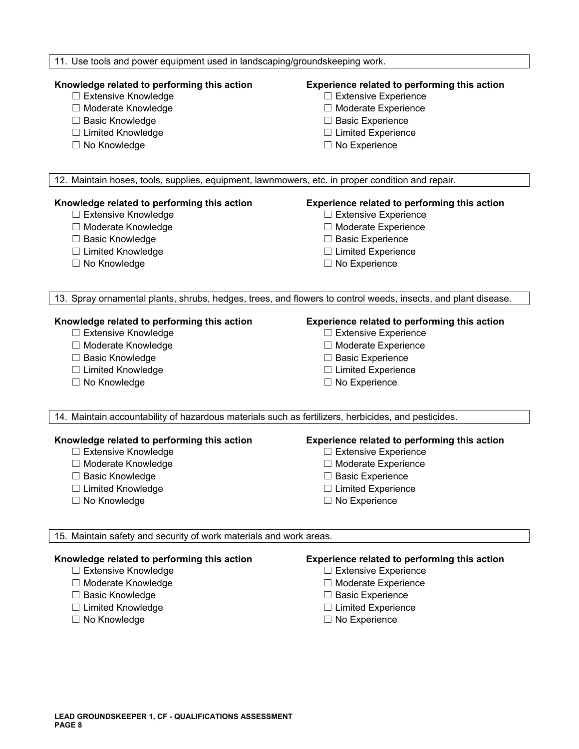### 11. Use tools and power equipment used in landscaping/groundskeeping work.

- ☐ Extensive Knowledge ☐ Extensive Experience
- ☐ Moderate Knowledge ☐ Moderate Experience
- ☐ Basic Knowledge ☐ Basic Experience
- ☐ Limited Knowledge ☐ Limited Experience
- ☐ No Knowledge ☐ No Experience

### **Knowledge related to performing this action Experience related to performing this action**

- 
- 
- 
- 
- 

12. Maintain hoses, tools, supplies, equipment, lawnmowers, etc. in proper condition and repair.

### **Knowledge related to performing this action Experience related to performing this action**

- 
- 
- 
- ☐ Limited Knowledge ☐ Limited Experience
- 

- ☐ Extensive Knowledge ☐ Extensive Experience
- ☐ Moderate Knowledge ☐ Moderate Experience
- ☐ Basic Knowledge ☐ Basic Experience
	-
- ☐ No Knowledge ☐ No Experience

13. Spray ornamental plants, shrubs, hedges, trees, and flowers to control weeds, insects, and plant disease.

- 
- ☐ Moderate Knowledge ☐ Moderate Experience
- 
- 
- 

### **Knowledge related to performing this action Experience related to performing this action**

- ☐ Extensive Knowledge ☐ Extensive Experience
	-
- ☐ Basic Knowledge ☐ Basic Experience
- ☐ Limited Knowledge ☐ Limited Experience
- ☐ No Knowledge ☐ No Experience

14. Maintain accountability of hazardous materials such as fertilizers, herbicides, and pesticides.

### **Knowledge related to performing this action Experience related to performing this action**

- ☐ Extensive Knowledge ☐ Extensive Experience
- ☐ Moderate Knowledge ☐ Moderate Experience
- ☐ Basic Knowledge ☐ Basic Experience
- ☐ Limited Knowledge ☐ Limited Experience
- ☐ No Knowledge ☐ No Experience

- 
- 
- 
- 
- 

### 15. Maintain safety and security of work materials and work areas.

### **Knowledge related to performing this action Experience related to performing this action**

- 
- 
- 
- 
- ☐ No Knowledge ☐ No Experience

- ☐ Extensive Knowledge ☐ Extensive Experience
- ☐ Moderate Knowledge ☐ Moderate Experience
- ☐ Basic Knowledge ☐ Basic Experience
- ☐ Limited Knowledge ☐ Limited Experience
	-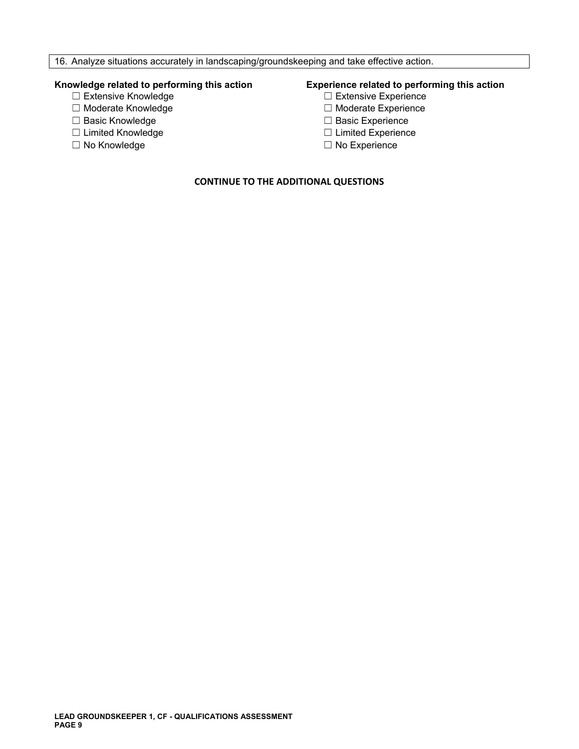### 16. Analyze situations accurately in landscaping/groundskeeping and take effective action.

- 
- ☐ Moderate Knowledge ☐ Moderate Experience
- ☐ Basic Knowledge ☐ Basic Experience
- 
- 

# **Knowledge related to performing this action Experience related to performing this action**

- □ Extensive Experience
- -
- ☐ Limited Knowledge ☐ Limited Experience
- ☐ No Knowledge ☐ No Experience

### **CONTINUE TO THE ADDITIONAL QUESTIONS**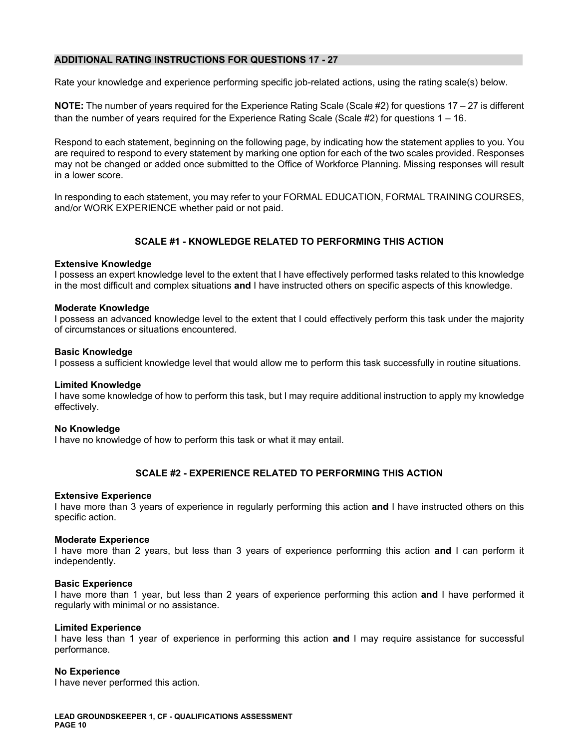### **ADDITIONAL RATING INSTRUCTIONS FOR QUESTIONS 17 - 27**

Rate your knowledge and experience performing specific job-related actions, using the rating scale(s) below.

**NOTE:** The number of years required for the Experience Rating Scale (Scale #2) for questions 17 – 27 is different than the number of years required for the Experience Rating Scale (Scale #2) for questions 1 – 16.

Respond to each statement, beginning on the following page, by indicating how the statement applies to you. You are required to respond to every statement by marking one option for each of the two scales provided. Responses may not be changed or added once submitted to the Office of Workforce Planning. Missing responses will result in a lower score.

In responding to each statement, you may refer to your FORMAL EDUCATION, FORMAL TRAINING COURSES, and/or WORK EXPERIENCE whether paid or not paid.

### **SCALE #1 - KNOWLEDGE RELATED TO PERFORMING THIS ACTION**

### **Extensive Knowledge**

I possess an expert knowledge level to the extent that I have effectively performed tasks related to this knowledge in the most difficult and complex situations **and** I have instructed others on specific aspects of this knowledge.

### **Moderate Knowledge**

I possess an advanced knowledge level to the extent that I could effectively perform this task under the majority of circumstances or situations encountered.

### **Basic Knowledge**

I possess a sufficient knowledge level that would allow me to perform this task successfully in routine situations.

### **Limited Knowledge**

I have some knowledge of how to perform this task, but I may require additional instruction to apply my knowledge effectively.

### **No Knowledge**

I have no knowledge of how to perform this task or what it may entail.

### **SCALE #2 - EXPERIENCE RELATED TO PERFORMING THIS ACTION**

### **Extensive Experience**

I have more than 3 years of experience in regularly performing this action **and** I have instructed others on this specific action.

### **Moderate Experience**

I have more than 2 years, but less than 3 years of experience performing this action **and** I can perform it independently.

### **Basic Experience**

I have more than 1 year, but less than 2 years of experience performing this action **and** I have performed it regularly with minimal or no assistance.

### **Limited Experience**

I have less than 1 year of experience in performing this action **and** I may require assistance for successful performance.

### **No Experience**

I have never performed this action.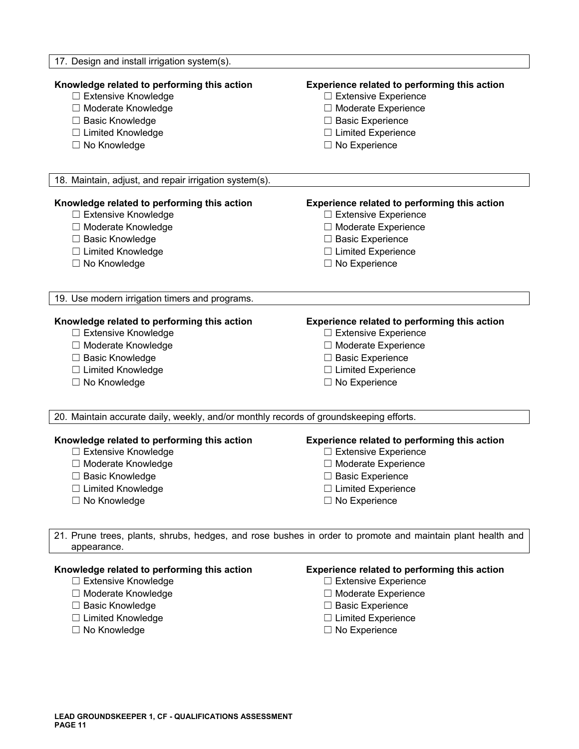| 17. Design and install irrigation system(s).                                                                              |                                              |  |
|---------------------------------------------------------------------------------------------------------------------------|----------------------------------------------|--|
| Knowledge related to performing this action                                                                               | Experience related to performing this action |  |
| □ Extensive Knowledge                                                                                                     | $\Box$ Extensive Experience                  |  |
| □ Moderate Knowledge                                                                                                      | □ Moderate Experience                        |  |
| □ Basic Knowledge                                                                                                         | □ Basic Experience                           |  |
| □ Limited Knowledge                                                                                                       | $\Box$ Limited Experience                    |  |
| $\Box$ No Knowledge                                                                                                       | $\Box$ No Experience                         |  |
| 18. Maintain, adjust, and repair irrigation system(s).                                                                    |                                              |  |
| Knowledge related to performing this action                                                                               | Experience related to performing this action |  |
| □ Extensive Knowledge                                                                                                     | □ Extensive Experience                       |  |
| □ Moderate Knowledge                                                                                                      | □ Moderate Experience                        |  |
| □ Basic Knowledge                                                                                                         | □ Basic Experience                           |  |
| □ Limited Knowledge                                                                                                       | $\Box$ Limited Experience                    |  |
| □ No Knowledge                                                                                                            | $\Box$ No Experience                         |  |
| 19. Use modern irrigation timers and programs.                                                                            |                                              |  |
| Knowledge related to performing this action                                                                               | Experience related to performing this action |  |
| □ Extensive Knowledge                                                                                                     | $\Box$ Extensive Experience                  |  |
| □ Moderate Knowledge                                                                                                      | □ Moderate Experience                        |  |
| □ Basic Knowledge                                                                                                         | □ Basic Experience                           |  |
| □ Limited Knowledge                                                                                                       | $\Box$ Limited Experience                    |  |
| $\Box$ No Knowledge                                                                                                       | $\Box$ No Experience                         |  |
| 20. Maintain accurate daily, weekly, and/or monthly records of groundskeeping efforts.                                    |                                              |  |
| Knowledge related to performing this action                                                                               | Experience related to performing this action |  |
| □ Extensive Knowledge                                                                                                     | □ Extensive Experience                       |  |
| □ Moderate Knowledge                                                                                                      | □ Moderate Experience                        |  |
| $\Box$ Basic Knowledge                                                                                                    | $\Box$ Basic Experience                      |  |
| □ Limited Knowledge                                                                                                       | $\Box$ Limited Experience                    |  |
| $\Box$ No Knowledge                                                                                                       | $\Box$ No Experience                         |  |
| 21. Prune trees, plants, shrubs, hedges, and rose bushes in order to promote and maintain plant health and<br>appearance. |                                              |  |
| Knowledge related to performing this action                                                                               | Experience related to performing this action |  |
| □ Extensive Knowledge                                                                                                     | □ Extensive Experience                       |  |

- ☐ Moderate Knowledge ☐ Moderate Experience
- ☐ Basic Knowledge ☐ Basic Experience
- ☐ Limited Knowledge ☐ Limited Experience
- ☐ No Knowledge ☐ No Experience
- 
- 
- -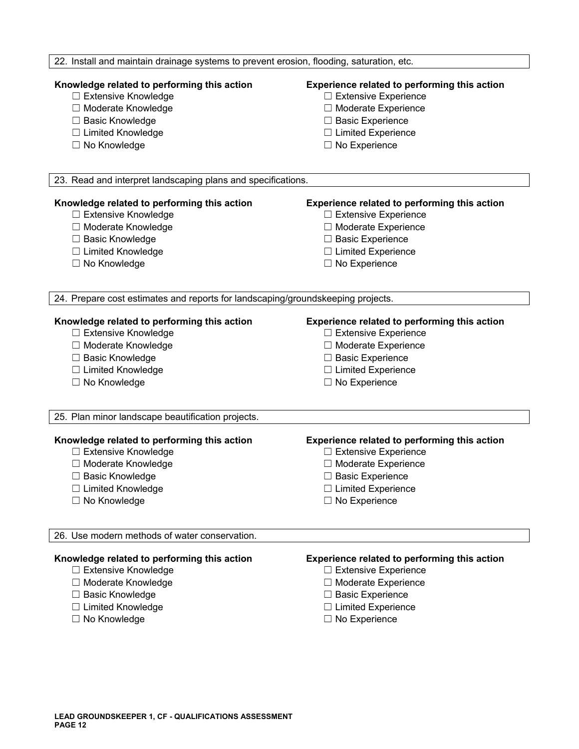### 22. Install and maintain drainage systems to prevent erosion, flooding, saturation, etc.

### **Knowledge related to performing this action Experience related to performing this action**

- ☐ Extensive Knowledge ☐ Extensive Experience
- ☐ Moderate Knowledge ☐ Moderate Experience
- ☐ Basic Knowledge ☐ Basic Experience
- ☐ Limited Knowledge ☐ Limited Experience
- 

- 
- 
- 
- 
- ☐ No Knowledge ☐ No Experience

23. Read and interpret landscaping plans and specifications.

### **Knowledge related to performing this action Experience related to performing this action**

- 
- 
- 
- 
- 

- ☐ Extensive Knowledge ☐ Extensive Experience
- ☐ Moderate Knowledge ☐ Moderate Experience
- ☐ Basic Knowledge ☐ Basic Experience
- ☐ Limited Knowledge ☐ Limited Experience
- ☐ No Knowledge ☐ No Experience

24. Prepare cost estimates and reports for landscaping/groundskeeping projects.

### **Knowledge related to performing this action Experience related to performing this action**

- 
- 
- 
- 
- 

- ☐ Extensive Knowledge ☐ Extensive Experience
- ☐ Moderate Knowledge ☐ Moderate Experience
- ☐ Basic Knowledge ☐ Basic Experience
- ☐ Limited Knowledge ☐ Limited Experience
- ☐ No Knowledge ☐ No Experience

25. Plan minor landscape beautification projects.

### **Knowledge related to performing this action Experience related to performing this action**

- ☐ Extensive Knowledge ☐ Extensive Experience
- ☐ Moderate Knowledge ☐ Moderate Experience
- 
- ☐ Limited Knowledge ☐ Limited Experience
- 

- 
- 
- ☐ Basic Knowledge ☐ Basic Experience
	-
- ☐ No Knowledge ☐ No Experience

## 26. Use modern methods of water conservation.

### **Knowledge related to performing this action Experience related to performing this action**

- 
- ☐ Moderate Knowledge ☐ Moderate Experience
- ☐ Basic Knowledge ☐ Basic Experience
- ☐ Limited Knowledge ☐ Limited Experience
- ☐ No Knowledge ☐ No Experience

- ☐ Extensive Knowledge ☐ Extensive Experience
	-
	-
	-
	-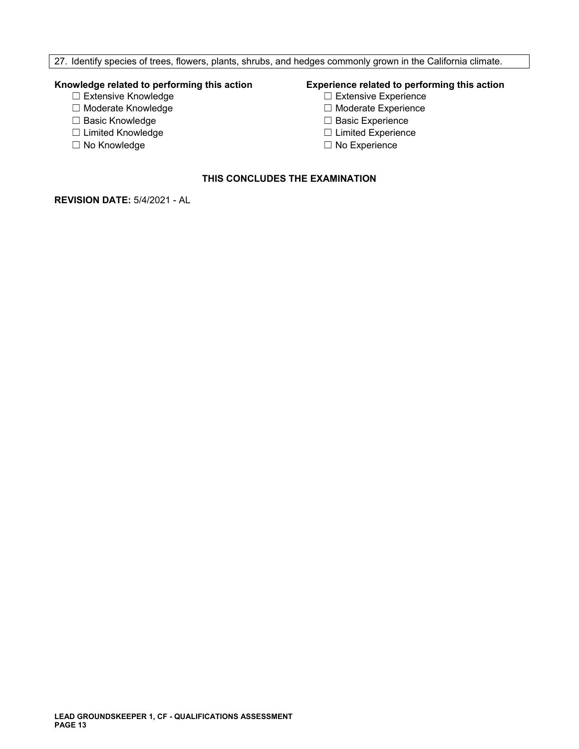### 27. Identify species of trees, flowers, plants, shrubs, and hedges commonly grown in the California climate.

- 
- ☐ Moderate Knowledge ☐ Moderate Experience
- ☐ Basic Knowledge ☐ Basic Experience
- 
- 

# **Knowledge related to performing this action Experience related to performing this action**

- □ Extensive Experience
- -
- ☐ Limited Knowledge ☐ Limited Experience
- ☐ No Knowledge ☐ No Experience

### **THIS CONCLUDES THE EXAMINATION**

**REVISION DATE:** 5/4/2021 - AL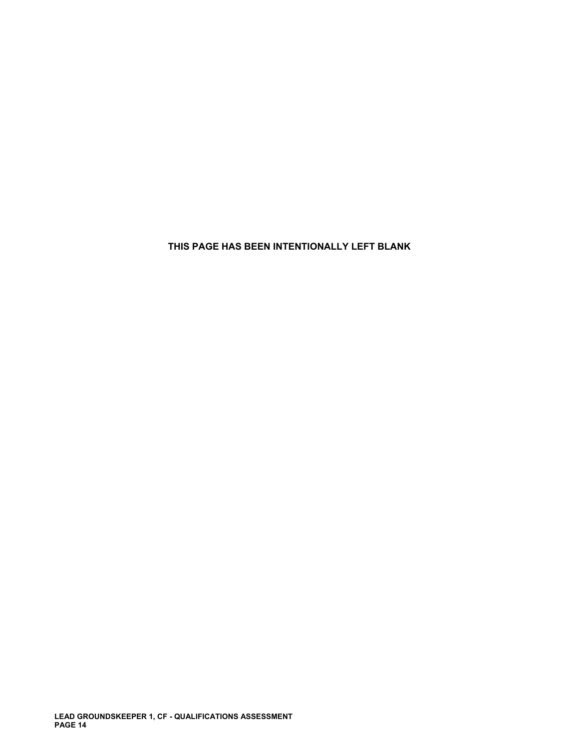**THIS PAGE HAS BEEN INTENTIONALLY LEFT BLANK**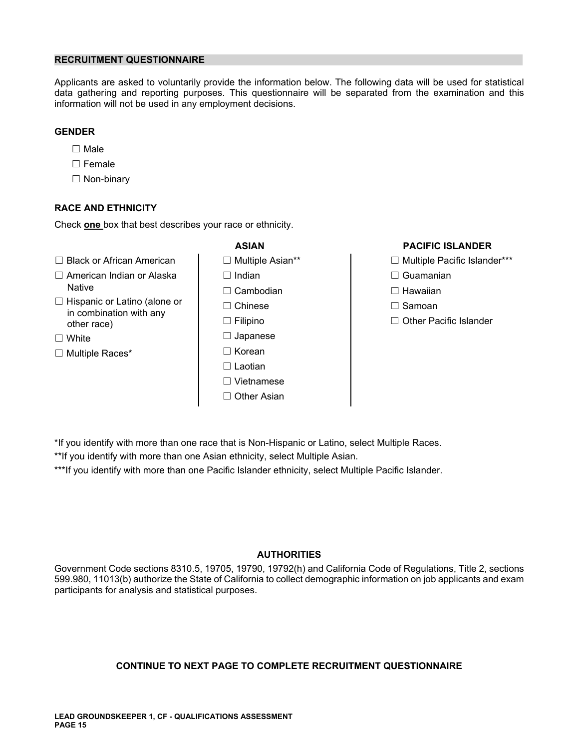### **RECRUITMENT QUESTIONNAIRE**

Applicants are asked to voluntarily provide the information below. The following data will be used for statistical data gathering and reporting purposes. This questionnaire will be separated from the examination and this information will not be used in any employment decisions.

### **GENDER**

- ☐ Male
- ☐ Female
- ☐ Non-binary

### **RACE AND ETHNICITY**

Check **one** box that best describes your race or ethnicity.

- ☐ Black or African American ☐ Multiple Asian\*\* ☐ Multiple Pacific Islander\*\*\*
- ☐ American Indian or Alaska ☐ Indian ☐ Guamanian
- ☐ Hispanic or Latino (alone or ☐ Chinese ☐ Samoan in combination with any other race) ☐ Filipino ☐ Other Pacific Islander
- 
- 
- Native ☐ Cambodian ☐ Hawaiian ☐ White ☐ Japanese ☐ Multiple Races\* ☐ Korean ☐ Laotian ☐ Vietnamese ☐ Other Asian

### **ASIAN PACIFIC ISLANDER**

- 
- 
- 
- 
- 

- \*If you identify with more than one race that is Non-Hispanic or Latino, select Multiple Races.
- \*\*If you identify with more than one Asian ethnicity, select Multiple Asian.

\*\*\*If you identify with more than one Pacific Islander ethnicity, select Multiple Pacific Islander.

### **AUTHORITIES**

Government Code sections 8310.5, 19705, 19790, 19792(h) and California Code of Regulations, Title 2, sections 599.980, 11013(b) authorize the State of California to collect demographic information on job applicants and exam participants for analysis and statistical purposes.

### **CONTINUE TO NEXT PAGE TO COMPLETE RECRUITMENT QUESTIONNAIRE**